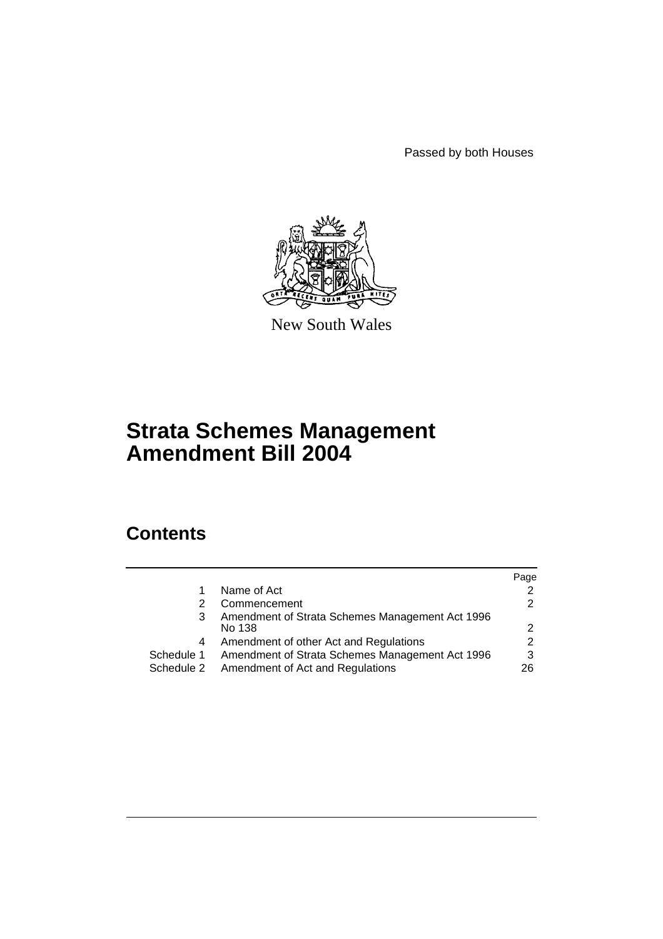Passed by both Houses



New South Wales

# **Strata Schemes Management Amendment Bill 2004**

# **Contents**

|            |                                                 | Page          |
|------------|-------------------------------------------------|---------------|
| 1          | Name of Act                                     | $\mathcal{P}$ |
|            | Commencement                                    | 2             |
| 3          | Amendment of Strata Schemes Management Act 1996 |               |
|            | No 138                                          | 2             |
| 4          | Amendment of other Act and Regulations          | 2             |
| Schedule 1 | Amendment of Strata Schemes Management Act 1996 | 3             |
|            | Schedule 2 Amendment of Act and Regulations     | 26            |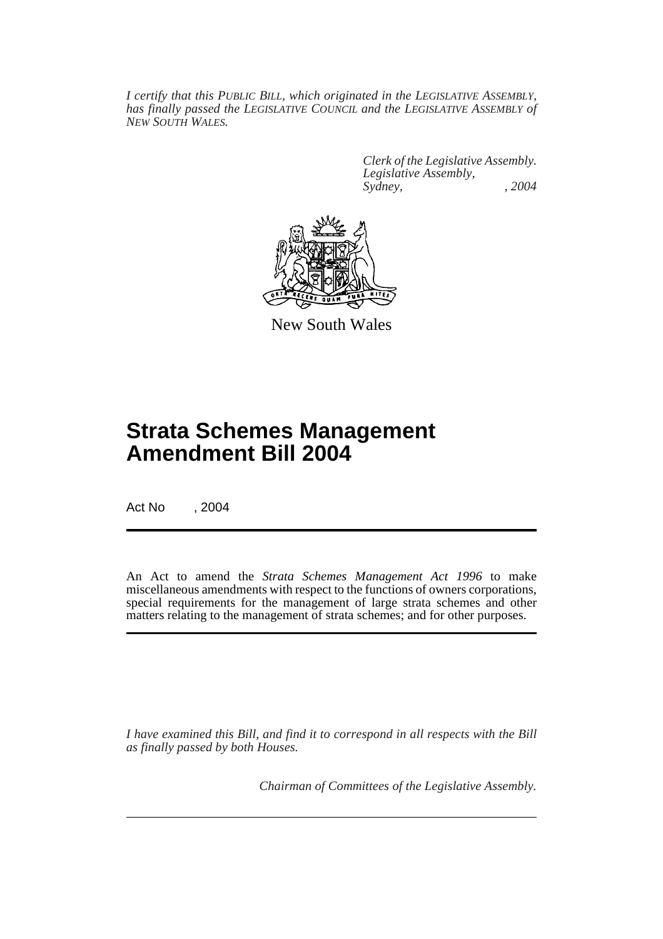*I certify that this PUBLIC BILL, which originated in the LEGISLATIVE ASSEMBLY, has finally passed the LEGISLATIVE COUNCIL and the LEGISLATIVE ASSEMBLY of NEW SOUTH WALES.*

> *Clerk of the Legislative Assembly. Legislative Assembly, Sydney, , 2004*



New South Wales

# **Strata Schemes Management Amendment Bill 2004**

Act No , 2004

An Act to amend the *Strata Schemes Management Act 1996* to make miscellaneous amendments with respect to the functions of owners corporations, special requirements for the management of large strata schemes and other matters relating to the management of strata schemes; and for other purposes.

*I have examined this Bill, and find it to correspond in all respects with the Bill as finally passed by both Houses.*

*Chairman of Committees of the Legislative Assembly.*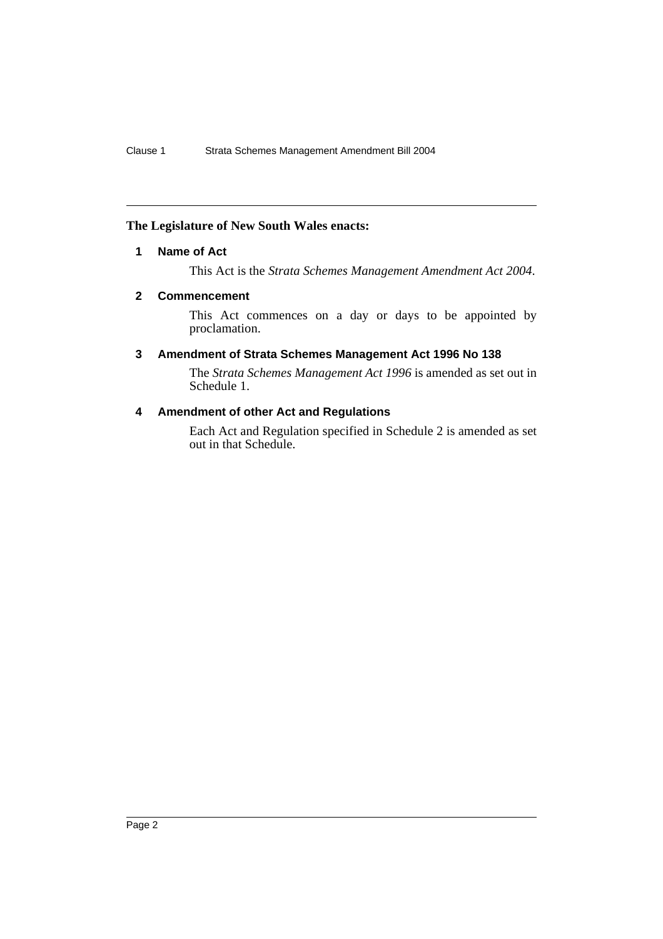### **The Legislature of New South Wales enacts:**

### **1 Name of Act**

This Act is the *Strata Schemes Management Amendment Act 2004*.

### **2 Commencement**

This Act commences on a day or days to be appointed by proclamation.

## **3 Amendment of Strata Schemes Management Act 1996 No 138**

The *Strata Schemes Management Act 1996* is amended as set out in Schedule 1.

### **4 Amendment of other Act and Regulations**

Each Act and Regulation specified in Schedule 2 is amended as set out in that Schedule.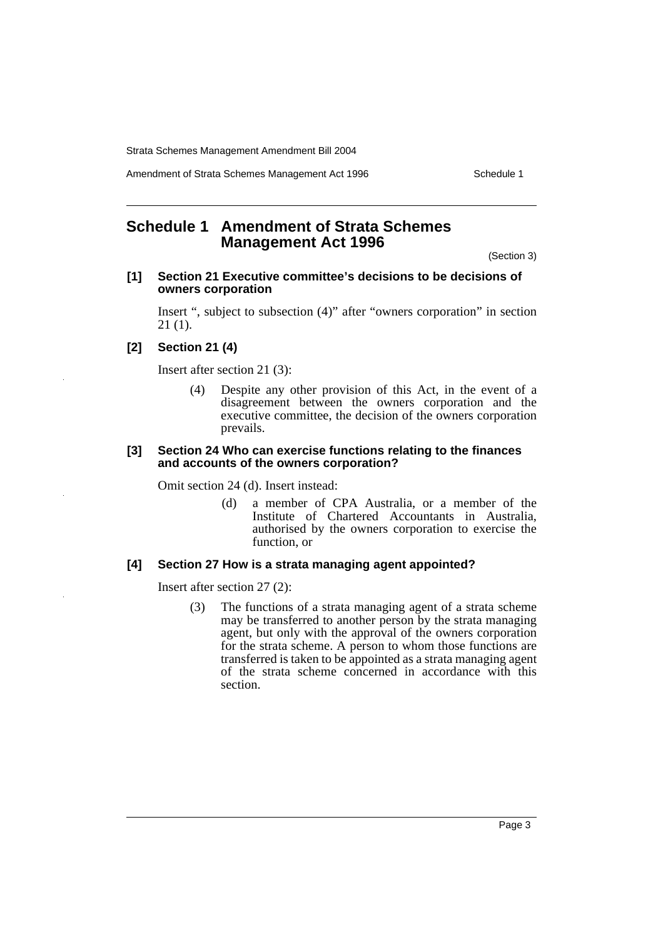Amendment of Strata Schemes Management Act 1996 Schedule 1

# **Schedule 1 Amendment of Strata Schemes Management Act 1996**

(Section 3)

### **[1] Section 21 Executive committee's decisions to be decisions of owners corporation**

Insert ", subject to subsection (4)" after "owners corporation" in section 21 (1).

### **[2] Section 21 (4)**

Insert after section 21 (3):

(4) Despite any other provision of this Act, in the event of a disagreement between the owners corporation and the executive committee, the decision of the owners corporation prevails.

#### **[3] Section 24 Who can exercise functions relating to the finances and accounts of the owners corporation?**

Omit section 24 (d). Insert instead:

(d) a member of CPA Australia, or a member of the Institute of Chartered Accountants in Australia, authorised by the owners corporation to exercise the function, or

### **[4] Section 27 How is a strata managing agent appointed?**

Insert after section 27 (2):

(3) The functions of a strata managing agent of a strata scheme may be transferred to another person by the strata managing agent, but only with the approval of the owners corporation for the strata scheme. A person to whom those functions are transferred is taken to be appointed as a strata managing agent of the strata scheme concerned in accordance with this section.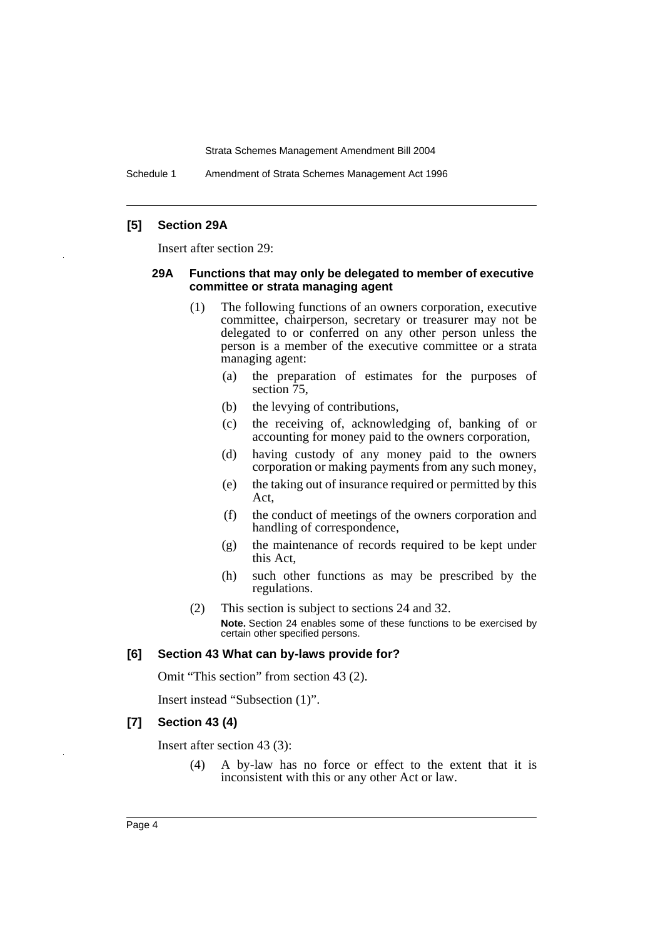Schedule 1 Amendment of Strata Schemes Management Act 1996

### **[5] Section 29A**

Insert after section 29:

### **29A Functions that may only be delegated to member of executive committee or strata managing agent**

- (1) The following functions of an owners corporation, executive committee, chairperson, secretary or treasurer may not be delegated to or conferred on any other person unless the person is a member of the executive committee or a strata managing agent:
	- (a) the preparation of estimates for the purposes of section  $\overline{75}$ ,
	- (b) the levying of contributions,
	- (c) the receiving of, acknowledging of, banking of or accounting for money paid to the owners corporation,
	- (d) having custody of any money paid to the owners corporation or making payments from any such money,
	- (e) the taking out of insurance required or permitted by this Act,
	- (f) the conduct of meetings of the owners corporation and handling of correspondence,
	- (g) the maintenance of records required to be kept under this Act,
	- (h) such other functions as may be prescribed by the regulations.
- (2) This section is subject to sections 24 and 32. **Note.** Section 24 enables some of these functions to be exercised by certain other specified persons.

#### **[6] Section 43 What can by-laws provide for?**

Omit "This section" from section 43 (2).

Insert instead "Subsection (1)".

#### **[7] Section 43 (4)**

Insert after section 43 (3):

(4) A by-law has no force or effect to the extent that it is inconsistent with this or any other Act or law.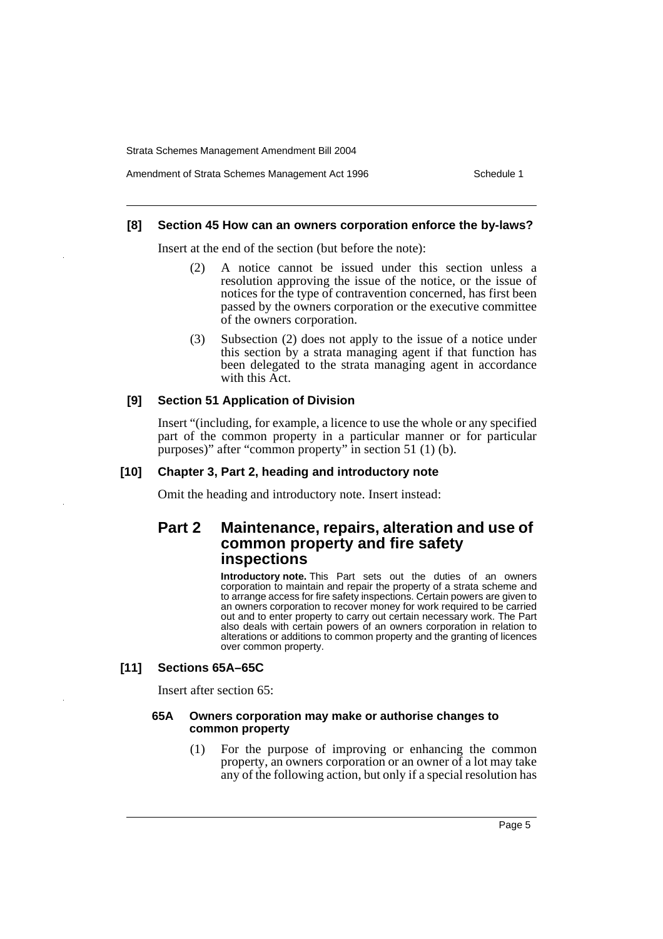Amendment of Strata Schemes Management Act 1996 Schedule 1

#### **[8] Section 45 How can an owners corporation enforce the by-laws?**

Insert at the end of the section (but before the note):

- (2) A notice cannot be issued under this section unless a resolution approving the issue of the notice, or the issue of notices for the type of contravention concerned, has first been passed by the owners corporation or the executive committee of the owners corporation.
- (3) Subsection (2) does not apply to the issue of a notice under this section by a strata managing agent if that function has been delegated to the strata managing agent in accordance with this Act.

#### **[9] Section 51 Application of Division**

Insert "(including, for example, a licence to use the whole or any specified part of the common property in a particular manner or for particular purposes)" after "common property" in section 51 (1) (b).

### **[10] Chapter 3, Part 2, heading and introductory note**

Omit the heading and introductory note. Insert instead:

## **Part 2 Maintenance, repairs, alteration and use of common property and fire safety inspections**

**Introductory note.** This Part sets out the duties of an owners corporation to maintain and repair the property of a strata scheme and to arrange access for fire safety inspections. Certain powers are given to an owners corporation to recover money for work required to be carried out and to enter property to carry out certain necessary work. The Part also deals with certain powers of an owners corporation in relation to alterations or additions to common property and the granting of licences over common property.

#### **[11] Sections 65A–65C**

Insert after section 65:

#### **65A Owners corporation may make or authorise changes to common property**

(1) For the purpose of improving or enhancing the common property, an owners corporation or an owner of a lot may take any of the following action, but only if a special resolution has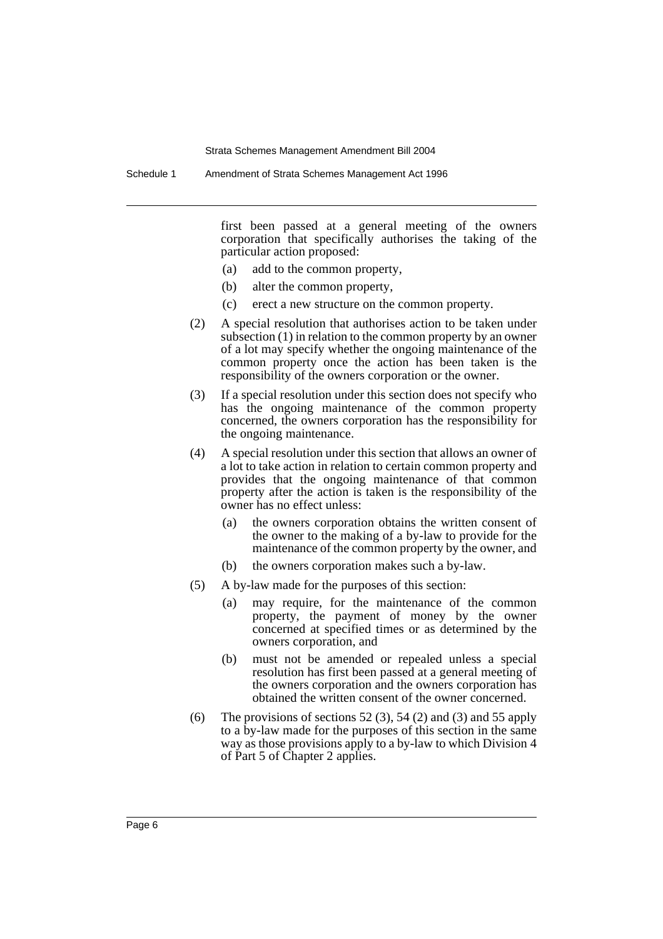Schedule 1 Amendment of Strata Schemes Management Act 1996

first been passed at a general meeting of the owners corporation that specifically authorises the taking of the particular action proposed:

- (a) add to the common property,
- (b) alter the common property,
- (c) erect a new structure on the common property.
- (2) A special resolution that authorises action to be taken under subsection (1) in relation to the common property by an owner of a lot may specify whether the ongoing maintenance of the common property once the action has been taken is the responsibility of the owners corporation or the owner.
- (3) If a special resolution under this section does not specify who has the ongoing maintenance of the common property concerned, the owners corporation has the responsibility for the ongoing maintenance.
- (4) A special resolution under this section that allows an owner of a lot to take action in relation to certain common property and provides that the ongoing maintenance of that common property after the action is taken is the responsibility of the owner has no effect unless:
	- (a) the owners corporation obtains the written consent of the owner to the making of a by-law to provide for the maintenance of the common property by the owner, and
	- (b) the owners corporation makes such a by-law.
- (5) A by-law made for the purposes of this section:
	- (a) may require, for the maintenance of the common property, the payment of money by the owner concerned at specified times or as determined by the owners corporation, and
	- (b) must not be amended or repealed unless a special resolution has first been passed at a general meeting of the owners corporation and the owners corporation has obtained the written consent of the owner concerned.
- (6) The provisions of sections  $52(3)$ ,  $54(2)$  and  $(3)$  and  $55$  apply to a by-law made for the purposes of this section in the same way as those provisions apply to a by-law to which Division 4 of Part 5 of Chapter 2 applies.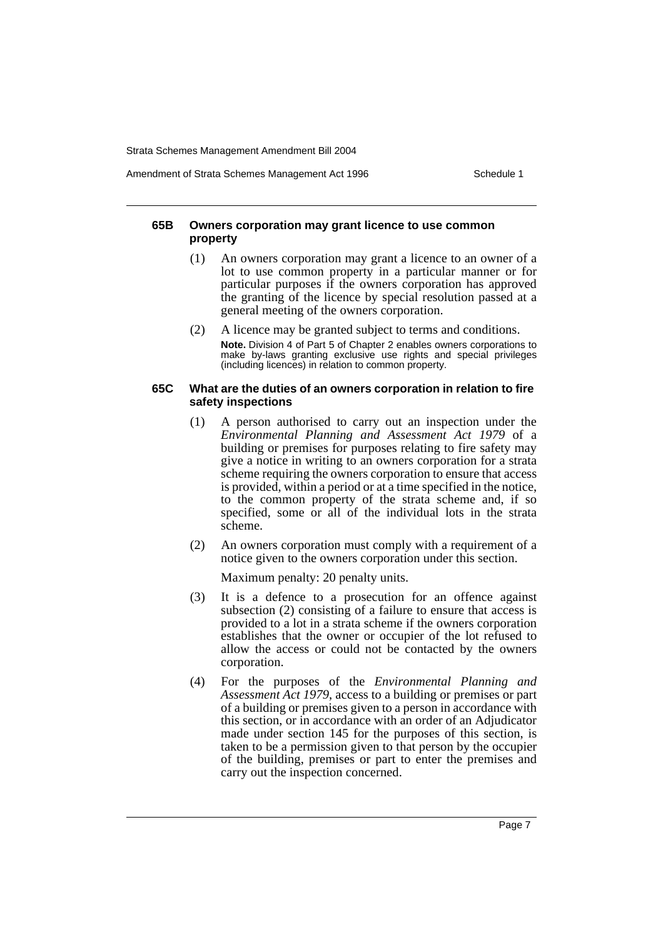Amendment of Strata Schemes Management Act 1996 Schedule 1

### **65B Owners corporation may grant licence to use common property**

- (1) An owners corporation may grant a licence to an owner of a lot to use common property in a particular manner or for particular purposes if the owners corporation has approved the granting of the licence by special resolution passed at a general meeting of the owners corporation.
- (2) A licence may be granted subject to terms and conditions. **Note.** Division 4 of Part 5 of Chapter 2 enables owners corporations to make by-laws granting exclusive use rights and special privileges (including licences) in relation to common property.

#### **65C What are the duties of an owners corporation in relation to fire safety inspections**

- (1) A person authorised to carry out an inspection under the *Environmental Planning and Assessment Act 1979* of a building or premises for purposes relating to fire safety may give a notice in writing to an owners corporation for a strata scheme requiring the owners corporation to ensure that access is provided, within a period or at a time specified in the notice, to the common property of the strata scheme and, if so specified, some or all of the individual lots in the strata scheme.
- (2) An owners corporation must comply with a requirement of a notice given to the owners corporation under this section.

Maximum penalty: 20 penalty units.

- (3) It is a defence to a prosecution for an offence against subsection (2) consisting of a failure to ensure that access is provided to a lot in a strata scheme if the owners corporation establishes that the owner or occupier of the lot refused to allow the access or could not be contacted by the owners corporation.
- (4) For the purposes of the *Environmental Planning and Assessment Act 1979*, access to a building or premises or part of a building or premises given to a person in accordance with this section, or in accordance with an order of an Adjudicator made under section 145 for the purposes of this section, is taken to be a permission given to that person by the occupier of the building, premises or part to enter the premises and carry out the inspection concerned.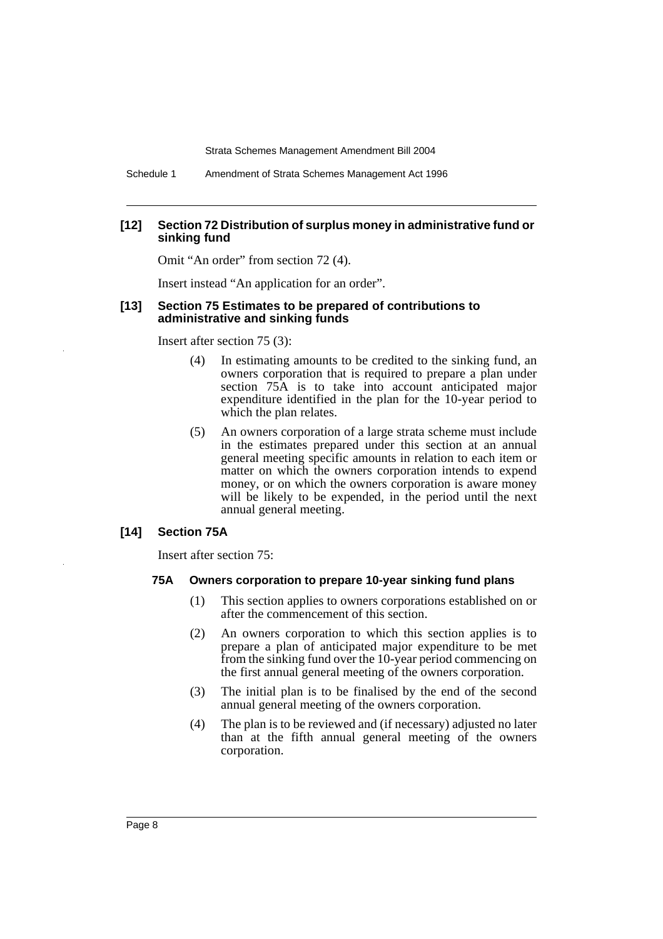Schedule 1 Amendment of Strata Schemes Management Act 1996

#### **[12] Section 72 Distribution of surplus money in administrative fund or sinking fund**

Omit "An order" from section 72 (4).

Insert instead "An application for an order".

#### **[13] Section 75 Estimates to be prepared of contributions to administrative and sinking funds**

Insert after section 75 (3):

- (4) In estimating amounts to be credited to the sinking fund, an owners corporation that is required to prepare a plan under section 75A is to take into account anticipated major expenditure identified in the plan for the 10-year period to which the plan relates.
- (5) An owners corporation of a large strata scheme must include in the estimates prepared under this section at an annual general meeting specific amounts in relation to each item or matter on which the owners corporation intends to expend money, or on which the owners corporation is aware money will be likely to be expended, in the period until the next annual general meeting.

#### **[14] Section 75A**

Insert after section 75:

#### **75A Owners corporation to prepare 10-year sinking fund plans**

- (1) This section applies to owners corporations established on or after the commencement of this section.
- (2) An owners corporation to which this section applies is to prepare a plan of anticipated major expenditure to be met from the sinking fund over the 10-year period commencing on the first annual general meeting of the owners corporation.
- (3) The initial plan is to be finalised by the end of the second annual general meeting of the owners corporation.
- (4) The plan is to be reviewed and (if necessary) adjusted no later than at the fifth annual general meeting of the owners corporation.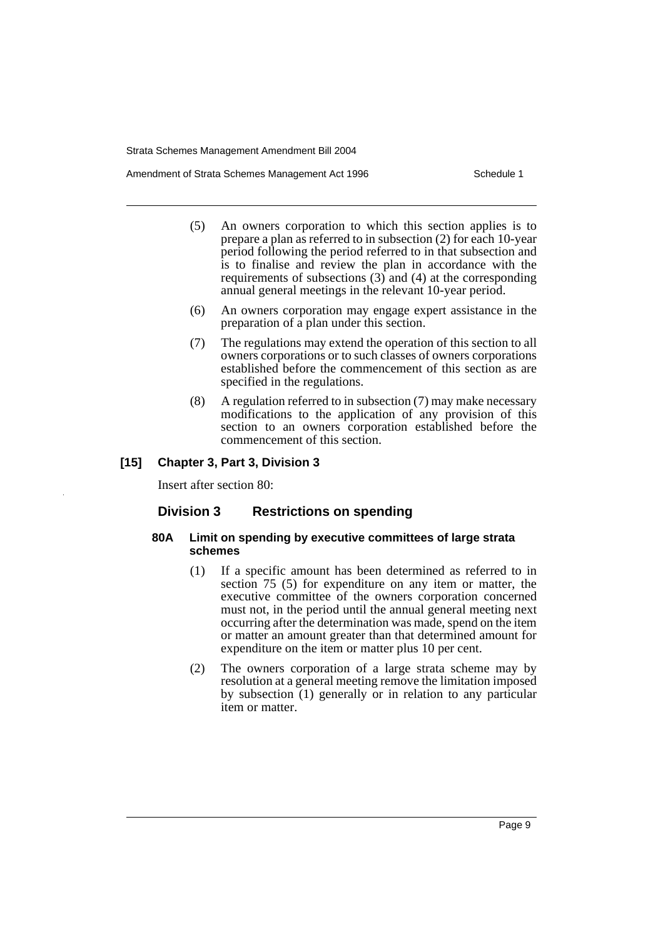Amendment of Strata Schemes Management Act 1996 Schedule 1

- (5) An owners corporation to which this section applies is to prepare a plan as referred to in subsection (2) for each 10-year period following the period referred to in that subsection and is to finalise and review the plan in accordance with the requirements of subsections  $(3)$  and  $(4)$  at the corresponding annual general meetings in the relevant 10-year period.
- (6) An owners corporation may engage expert assistance in the preparation of a plan under this section.
- (7) The regulations may extend the operation of this section to all owners corporations or to such classes of owners corporations established before the commencement of this section as are specified in the regulations.
- (8) A regulation referred to in subsection (7) may make necessary modifications to the application of any provision of this section to an owners corporation established before the commencement of this section.

### **[15] Chapter 3, Part 3, Division 3**

Insert after section 80:

### **Division 3 Restrictions on spending**

#### **80A Limit on spending by executive committees of large strata schemes**

- (1) If a specific amount has been determined as referred to in section 75 (5) for expenditure on any item or matter, the executive committee of the owners corporation concerned must not, in the period until the annual general meeting next occurring after the determination was made, spend on the item or matter an amount greater than that determined amount for expenditure on the item or matter plus 10 per cent.
- (2) The owners corporation of a large strata scheme may by resolution at a general meeting remove the limitation imposed by subsection (1) generally or in relation to any particular item or matter.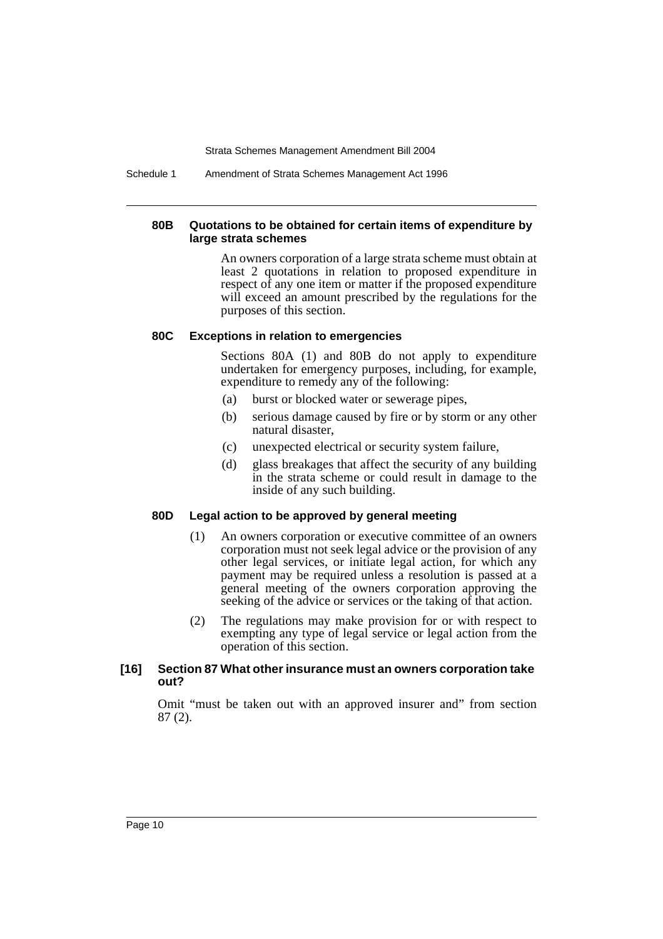Schedule 1 Amendment of Strata Schemes Management Act 1996

### **80B Quotations to be obtained for certain items of expenditure by large strata schemes**

An owners corporation of a large strata scheme must obtain at least 2 quotations in relation to proposed expenditure in respect of any one item or matter if the proposed expenditure will exceed an amount prescribed by the regulations for the purposes of this section.

#### **80C Exceptions in relation to emergencies**

Sections 80A (1) and 80B do not apply to expenditure undertaken for emergency purposes, including, for example, expenditure to remedy any of the following:

- (a) burst or blocked water or sewerage pipes,
- (b) serious damage caused by fire or by storm or any other natural disaster,
- (c) unexpected electrical or security system failure,
- (d) glass breakages that affect the security of any building in the strata scheme or could result in damage to the inside of any such building.

### **80D Legal action to be approved by general meeting**

- (1) An owners corporation or executive committee of an owners corporation must not seek legal advice or the provision of any other legal services, or initiate legal action, for which any payment may be required unless a resolution is passed at a general meeting of the owners corporation approving the seeking of the advice or services or the taking of that action.
- (2) The regulations may make provision for or with respect to exempting any type of legal service or legal action from the operation of this section.

### **[16] Section 87 What other insurance must an owners corporation take out?**

Omit "must be taken out with an approved insurer and" from section 87 (2).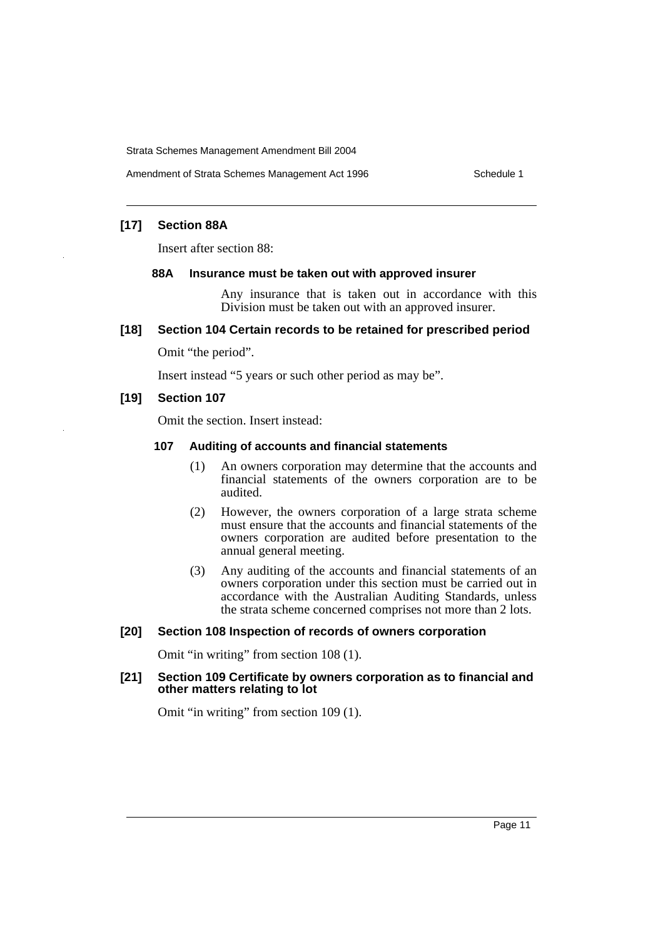### **[17] Section 88A**

Insert after section 88:

#### **88A Insurance must be taken out with approved insurer**

Any insurance that is taken out in accordance with this Division must be taken out with an approved insurer.

#### **[18] Section 104 Certain records to be retained for prescribed period**

Omit "the period".

Insert instead "5 years or such other period as may be".

#### **[19] Section 107**

Omit the section. Insert instead:

### **107 Auditing of accounts and financial statements**

- (1) An owners corporation may determine that the accounts and financial statements of the owners corporation are to be audited.
- (2) However, the owners corporation of a large strata scheme must ensure that the accounts and financial statements of the owners corporation are audited before presentation to the annual general meeting.
- (3) Any auditing of the accounts and financial statements of an owners corporation under this section must be carried out in accordance with the Australian Auditing Standards, unless the strata scheme concerned comprises not more than 2 lots.

#### **[20] Section 108 Inspection of records of owners corporation**

Omit "in writing" from section 108 (1).

### **[21] Section 109 Certificate by owners corporation as to financial and other matters relating to lot**

Omit "in writing" from section 109 (1).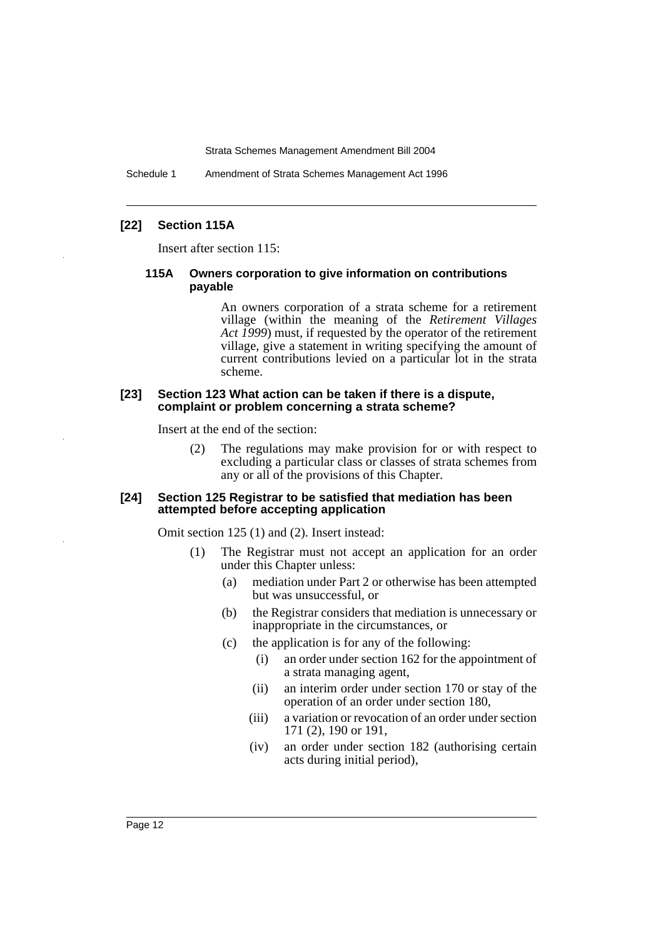Schedule 1 Amendment of Strata Schemes Management Act 1996

### **[22] Section 115A**

Insert after section 115:

### **115A Owners corporation to give information on contributions payable**

An owners corporation of a strata scheme for a retirement village (within the meaning of the *Retirement Villages Act 1999*) must, if requested by the operator of the retirement village, give a statement in writing specifying the amount of current contributions levied on a particular lot in the strata scheme.

#### **[23] Section 123 What action can be taken if there is a dispute, complaint or problem concerning a strata scheme?**

Insert at the end of the section:

(2) The regulations may make provision for or with respect to excluding a particular class or classes of strata schemes from any or all of the provisions of this Chapter.

#### **[24] Section 125 Registrar to be satisfied that mediation has been attempted before accepting application**

Omit section 125 (1) and (2). Insert instead:

- (1) The Registrar must not accept an application for an order under this Chapter unless:
	- (a) mediation under Part 2 or otherwise has been attempted but was unsuccessful, or
	- (b) the Registrar considers that mediation is unnecessary or inappropriate in the circumstances, or
	- (c) the application is for any of the following:
		- (i) an order under section 162 for the appointment of a strata managing agent,
		- (ii) an interim order under section 170 or stay of the operation of an order under section 180,
		- (iii) a variation or revocation of an order under section 171 (2), 190 or 191,
		- (iv) an order under section 182 (authorising certain acts during initial period),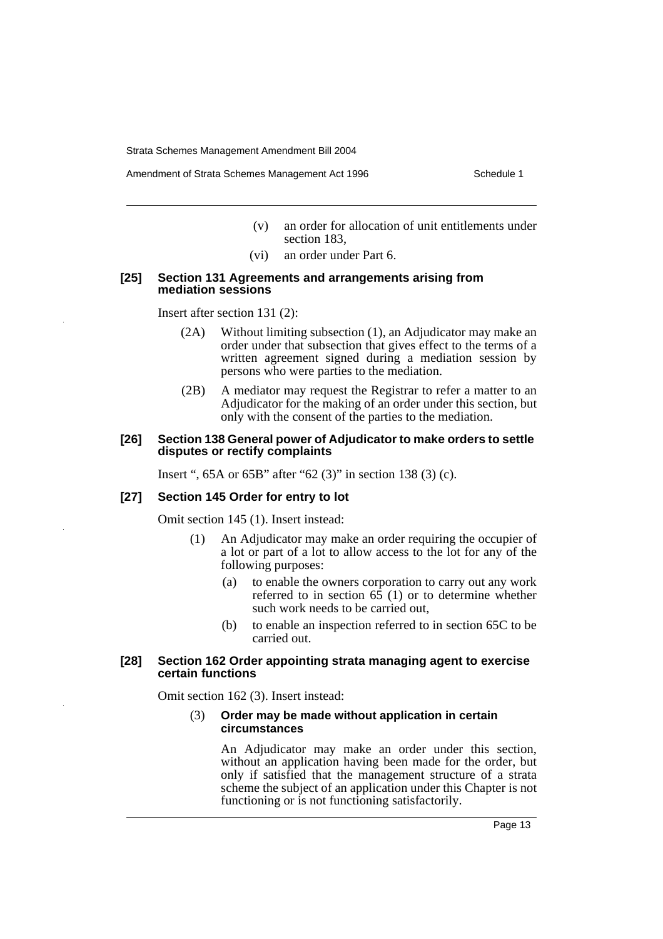Amendment of Strata Schemes Management Act 1996 Schedule 1

- (v) an order for allocation of unit entitlements under section 183,
- (vi) an order under Part 6.

#### **[25] Section 131 Agreements and arrangements arising from mediation sessions**

Insert after section 131 (2):

- (2A) Without limiting subsection (1), an Adjudicator may make an order under that subsection that gives effect to the terms of a written agreement signed during a mediation session by persons who were parties to the mediation.
- (2B) A mediator may request the Registrar to refer a matter to an Adjudicator for the making of an order under this section, but only with the consent of the parties to the mediation.

### **[26] Section 138 General power of Adjudicator to make orders to settle disputes or rectify complaints**

Insert ", 65A or 65B" after "62 (3)" in section 138 (3) (c).

#### **[27] Section 145 Order for entry to lot**

Omit section 145 (1). Insert instead:

- (1) An Adjudicator may make an order requiring the occupier of a lot or part of a lot to allow access to the lot for any of the following purposes:
	- (a) to enable the owners corporation to carry out any work referred to in section  $6\overline{5}$  (1) or to determine whether such work needs to be carried out,
	- (b) to enable an inspection referred to in section 65C to be carried out.

#### **[28] Section 162 Order appointing strata managing agent to exercise certain functions**

Omit section 162 (3). Insert instead:

### (3) **Order may be made without application in certain circumstances**

An Adjudicator may make an order under this section, without an application having been made for the order, but only if satisfied that the management structure of a strata scheme the subject of an application under this Chapter is not functioning or is not functioning satisfactorily.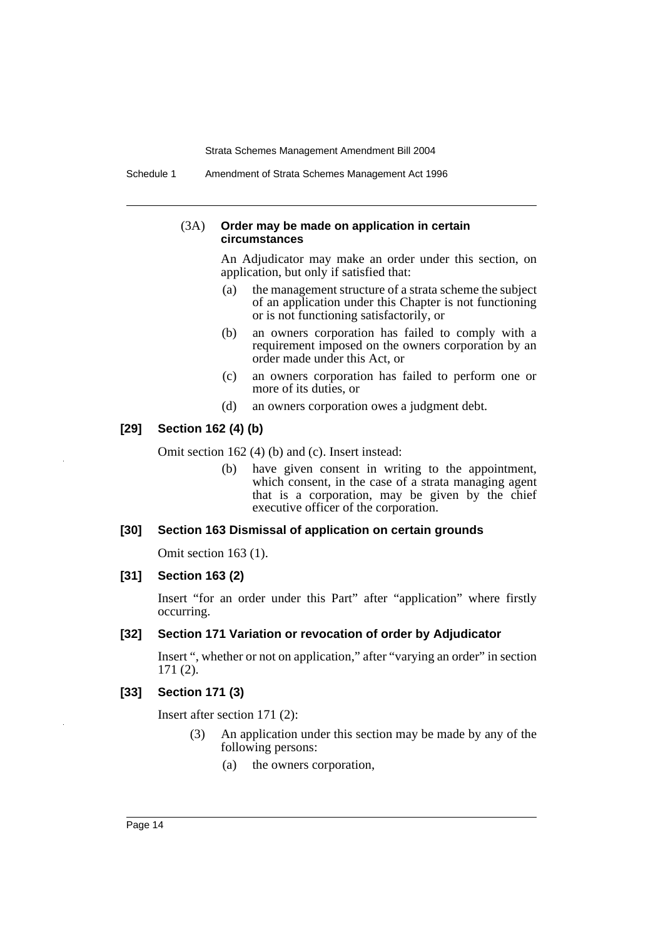Schedule 1 Amendment of Strata Schemes Management Act 1996

#### (3A) **Order may be made on application in certain circumstances**

An Adjudicator may make an order under this section, on application, but only if satisfied that:

- (a) the management structure of a strata scheme the subject of an application under this Chapter is not functioning or is not functioning satisfactorily, or
- (b) an owners corporation has failed to comply with a requirement imposed on the owners corporation by an order made under this Act, or
- (c) an owners corporation has failed to perform one or more of its duties, or
- (d) an owners corporation owes a judgment debt.

### **[29] Section 162 (4) (b)**

Omit section 162 (4) (b) and (c). Insert instead:

(b) have given consent in writing to the appointment, which consent, in the case of a strata managing agent that is a corporation, may be given by the chief executive officer of the corporation.

### **[30] Section 163 Dismissal of application on certain grounds**

Omit section 163 (1).

### **[31] Section 163 (2)**

Insert "for an order under this Part" after "application" where firstly occurring.

### **[32] Section 171 Variation or revocation of order by Adjudicator**

Insert ", whether or not on application," after "varying an order" in section 171 (2).

### **[33] Section 171 (3)**

Insert after section 171 (2):

- (3) An application under this section may be made by any of the following persons:
	- (a) the owners corporation,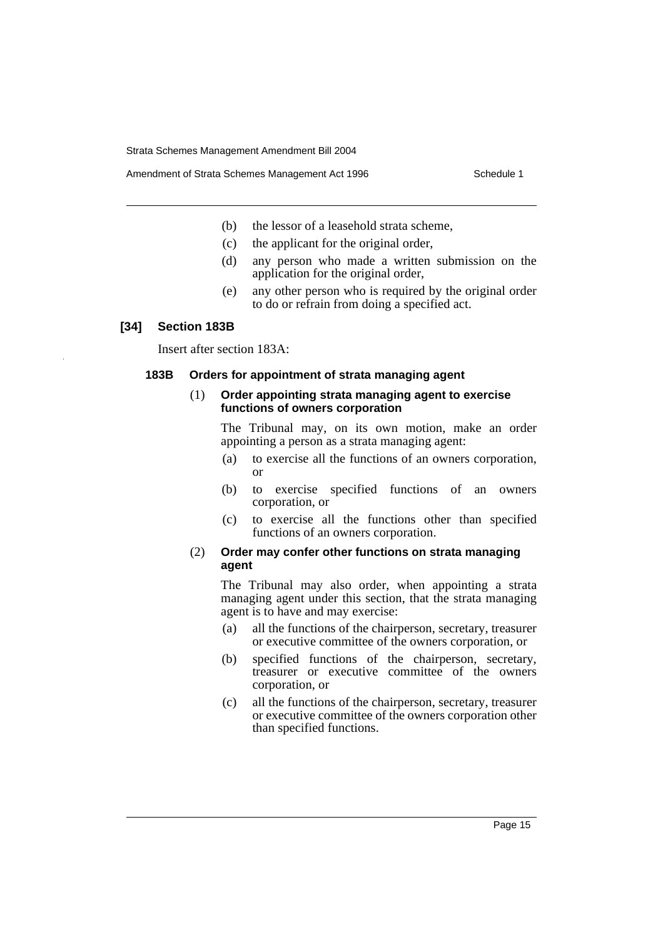- (b) the lessor of a leasehold strata scheme,
- (c) the applicant for the original order,
- (d) any person who made a written submission on the application for the original order,
- (e) any other person who is required by the original order to do or refrain from doing a specified act.

#### **[34] Section 183B**

Insert after section 183A:

#### **183B Orders for appointment of strata managing agent**

#### (1) **Order appointing strata managing agent to exercise functions of owners corporation**

The Tribunal may, on its own motion, make an order appointing a person as a strata managing agent:

- (a) to exercise all the functions of an owners corporation, or
- (b) to exercise specified functions of an owners corporation, or
- (c) to exercise all the functions other than specified functions of an owners corporation.

### (2) **Order may confer other functions on strata managing agent**

The Tribunal may also order, when appointing a strata managing agent under this section, that the strata managing agent is to have and may exercise:

- (a) all the functions of the chairperson, secretary, treasurer or executive committee of the owners corporation, or
- (b) specified functions of the chairperson, secretary, treasurer or executive committee of the owners corporation, or
- (c) all the functions of the chairperson, secretary, treasurer or executive committee of the owners corporation other than specified functions.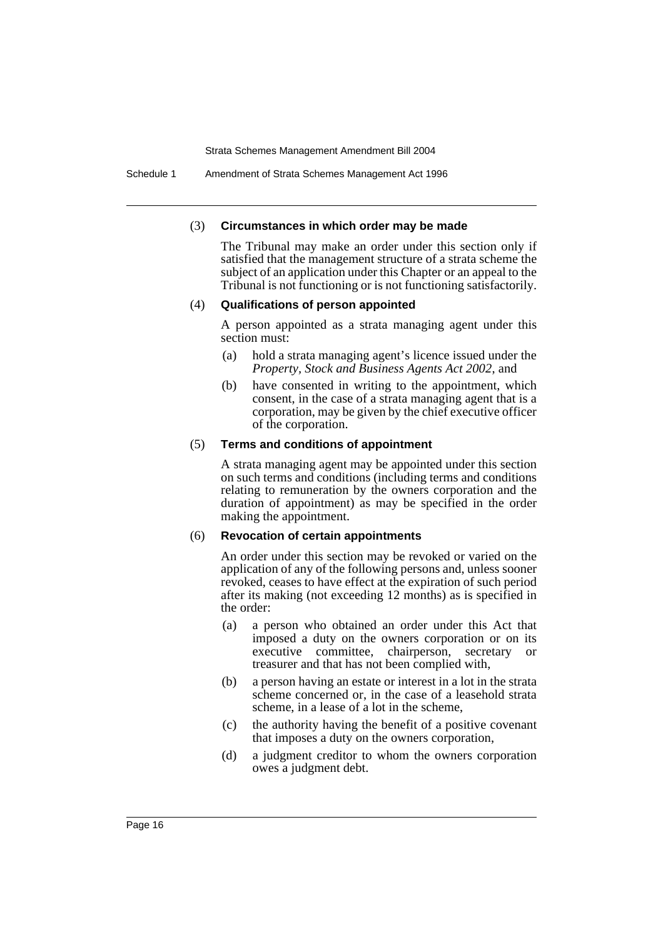Schedule 1 Amendment of Strata Schemes Management Act 1996

### (3) **Circumstances in which order may be made**

The Tribunal may make an order under this section only if satisfied that the management structure of a strata scheme the subject of an application under this Chapter or an appeal to the Tribunal is not functioning or is not functioning satisfactorily.

#### (4) **Qualifications of person appointed**

A person appointed as a strata managing agent under this section must:

- (a) hold a strata managing agent's licence issued under the *Property, Stock and Business Agents Act 2002*, and
- (b) have consented in writing to the appointment, which consent, in the case of a strata managing agent that is a corporation, may be given by the chief executive officer of the corporation.

#### (5) **Terms and conditions of appointment**

A strata managing agent may be appointed under this section on such terms and conditions (including terms and conditions relating to remuneration by the owners corporation and the duration of appointment) as may be specified in the order making the appointment.

### (6) **Revocation of certain appointments**

An order under this section may be revoked or varied on the application of any of the following persons and, unless sooner revoked, ceases to have effect at the expiration of such period after its making (not exceeding 12 months) as is specified in the order:

- (a) a person who obtained an order under this Act that imposed a duty on the owners corporation or on its executive committee, chairperson, secretary or treasurer and that has not been complied with,
- (b) a person having an estate or interest in a lot in the strata scheme concerned or, in the case of a leasehold strata scheme, in a lease of a lot in the scheme,
- (c) the authority having the benefit of a positive covenant that imposes a duty on the owners corporation,
- (d) a judgment creditor to whom the owners corporation owes a judgment debt.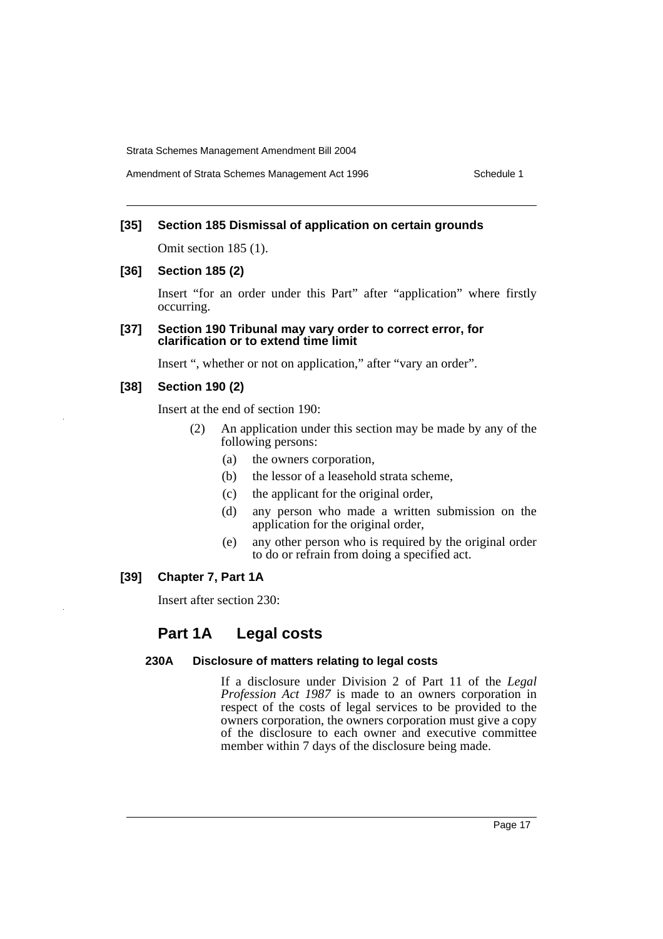Amendment of Strata Schemes Management Act 1996 Schedule 1

### **[35] Section 185 Dismissal of application on certain grounds**

Omit section 185 (1).

### **[36] Section 185 (2)**

Insert "for an order under this Part" after "application" where firstly occurring.

#### **[37] Section 190 Tribunal may vary order to correct error, for clarification or to extend time limit**

Insert ", whether or not on application," after "vary an order".

### **[38] Section 190 (2)**

Insert at the end of section 190:

- (2) An application under this section may be made by any of the following persons:
	- (a) the owners corporation,
	- (b) the lessor of a leasehold strata scheme,
	- (c) the applicant for the original order,
	- (d) any person who made a written submission on the application for the original order,
	- (e) any other person who is required by the original order to do or refrain from doing a specified act.

### **[39] Chapter 7, Part 1A**

Insert after section 230:

## **Part 1A Legal costs**

### **230A Disclosure of matters relating to legal costs**

If a disclosure under Division 2 of Part 11 of the *Legal Profession Act 1987* is made to an owners corporation in respect of the costs of legal services to be provided to the owners corporation, the owners corporation must give a copy of the disclosure to each owner and executive committee member within 7 days of the disclosure being made.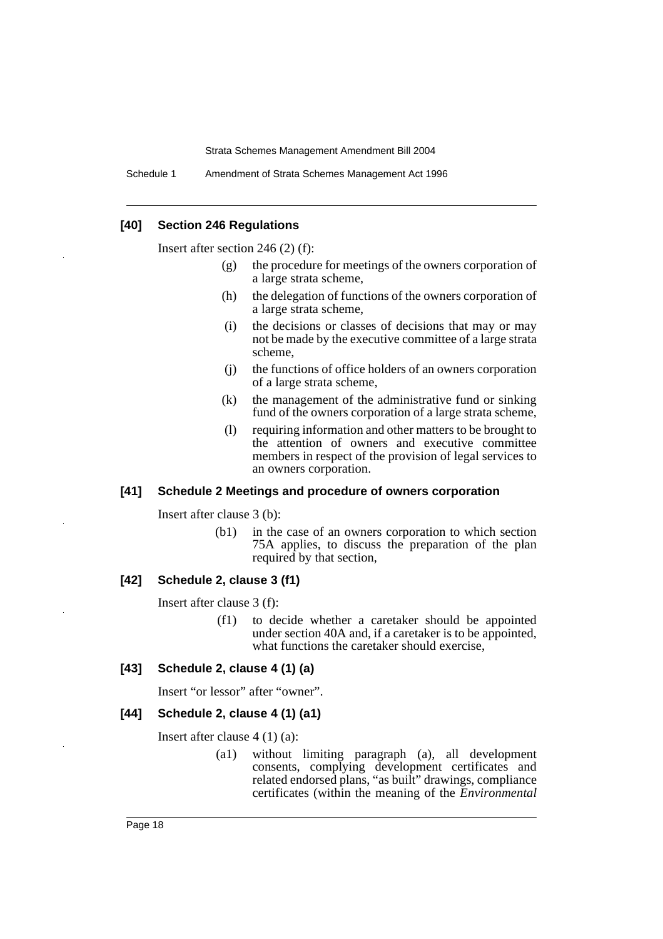Schedule 1 Amendment of Strata Schemes Management Act 1996

### **[40] Section 246 Regulations**

Insert after section 246 (2) (f):

- (g) the procedure for meetings of the owners corporation of a large strata scheme,
- (h) the delegation of functions of the owners corporation of a large strata scheme,
- (i) the decisions or classes of decisions that may or may not be made by the executive committee of a large strata scheme,
- (j) the functions of office holders of an owners corporation of a large strata scheme,
- (k) the management of the administrative fund or sinking fund of the owners corporation of a large strata scheme,
- (l) requiring information and other matters to be brought to the attention of owners and executive committee members in respect of the provision of legal services to an owners corporation.

#### **[41] Schedule 2 Meetings and procedure of owners corporation**

Insert after clause 3 (b):

(b1) in the case of an owners corporation to which section 75A applies, to discuss the preparation of the plan required by that section,

### **[42] Schedule 2, clause 3 (f1)**

Insert after clause 3 (f):

(f1) to decide whether a caretaker should be appointed under section 40A and, if a caretaker is to be appointed, what functions the caretaker should exercise,

### **[43] Schedule 2, clause 4 (1) (a)**

Insert "or lessor" after "owner".

#### **[44] Schedule 2, clause 4 (1) (a1)**

Insert after clause 4 (1) (a):

(a1) without limiting paragraph (a), all development consents, complying development certificates and related endorsed plans, "as built" drawings, compliance certificates (within the meaning of the *Environmental*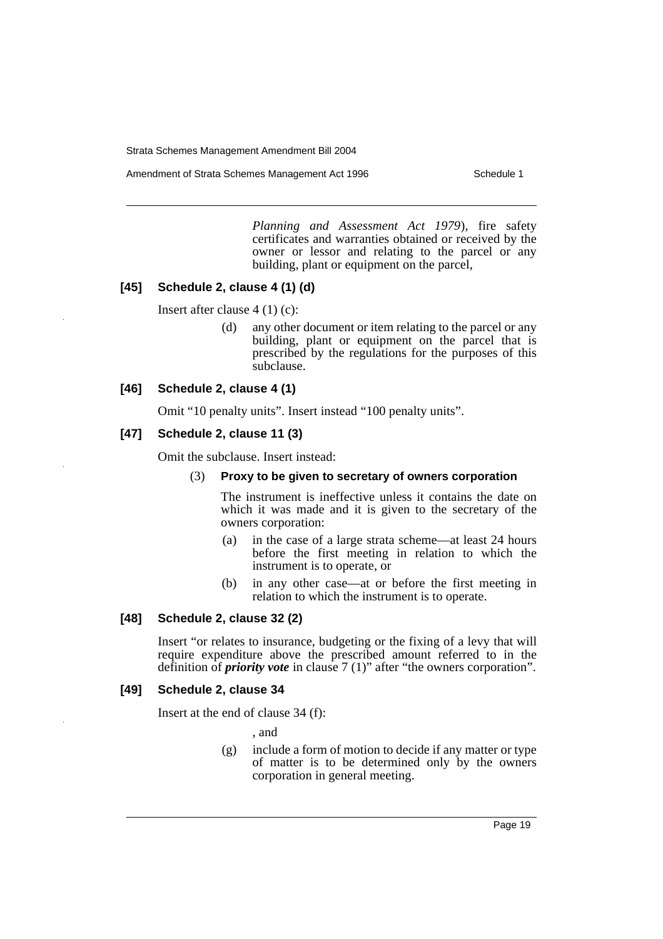Amendment of Strata Schemes Management Act 1996 Schedule 1

*Planning and Assessment Act 1979*), fire safety certificates and warranties obtained or received by the owner or lessor and relating to the parcel or any building, plant or equipment on the parcel,

### **[45] Schedule 2, clause 4 (1) (d)**

Insert after clause 4 (1) (c):

(d) any other document or item relating to the parcel or any building, plant or equipment on the parcel that is prescribed by the regulations for the purposes of this subclause.

### **[46] Schedule 2, clause 4 (1)**

Omit "10 penalty units". Insert instead "100 penalty units".

### **[47] Schedule 2, clause 11 (3)**

Omit the subclause. Insert instead:

### (3) **Proxy to be given to secretary of owners corporation**

The instrument is ineffective unless it contains the date on which it was made and it is given to the secretary of the owners corporation:

- (a) in the case of a large strata scheme—at least 24 hours before the first meeting in relation to which the instrument is to operate, or
- (b) in any other case—at or before the first meeting in relation to which the instrument is to operate.

### **[48] Schedule 2, clause 32 (2)**

Insert "or relates to insurance, budgeting or the fixing of a levy that will require expenditure above the prescribed amount referred to in the definition of *priority vote* in clause 7 (1)" after "the owners corporation".

#### **[49] Schedule 2, clause 34**

Insert at the end of clause 34 (f):

, and

(g) include a form of motion to decide if any matter or type of matter is to be determined only by the owners corporation in general meeting.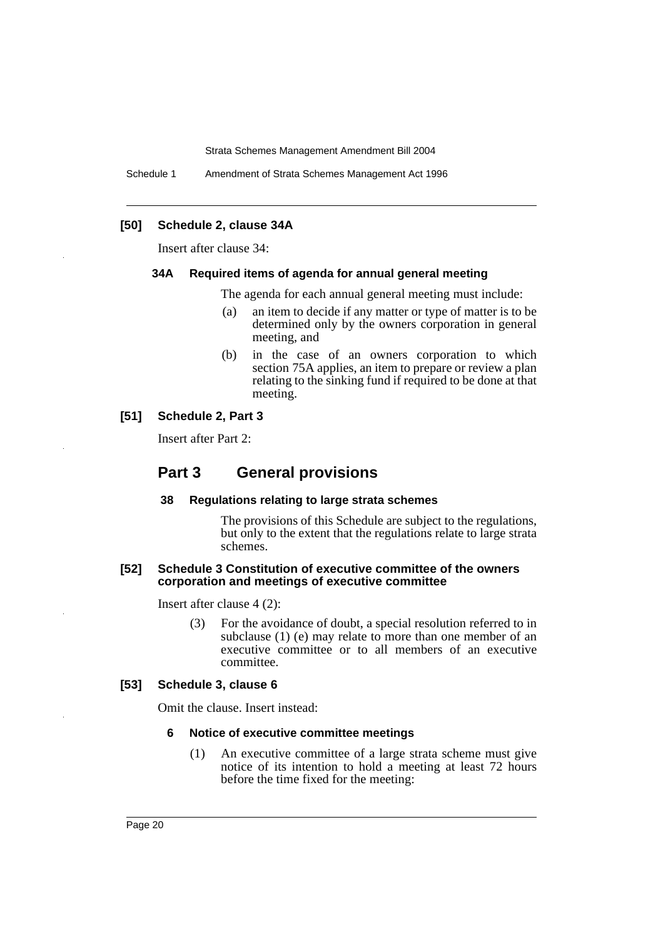Schedule 1 Amendment of Strata Schemes Management Act 1996

### **[50] Schedule 2, clause 34A**

Insert after clause 34:

### **34A Required items of agenda for annual general meeting**

The agenda for each annual general meeting must include:

- (a) an item to decide if any matter or type of matter is to be determined only by the owners corporation in general meeting, and
- (b) in the case of an owners corporation to which section 75A applies, an item to prepare or review a plan relating to the sinking fund if required to be done at that meeting.

### **[51] Schedule 2, Part 3**

Insert after Part 2:

### **Part 3 General provisions**

### **38 Regulations relating to large strata schemes**

The provisions of this Schedule are subject to the regulations, but only to the extent that the regulations relate to large strata schemes.

### **[52] Schedule 3 Constitution of executive committee of the owners corporation and meetings of executive committee**

Insert after clause 4 (2):

(3) For the avoidance of doubt, a special resolution referred to in subclause (1) (e) may relate to more than one member of an executive committee or to all members of an executive committee.

#### **[53] Schedule 3, clause 6**

Omit the clause. Insert instead:

### **6 Notice of executive committee meetings**

(1) An executive committee of a large strata scheme must give notice of its intention to hold a meeting at least 72 hours before the time fixed for the meeting: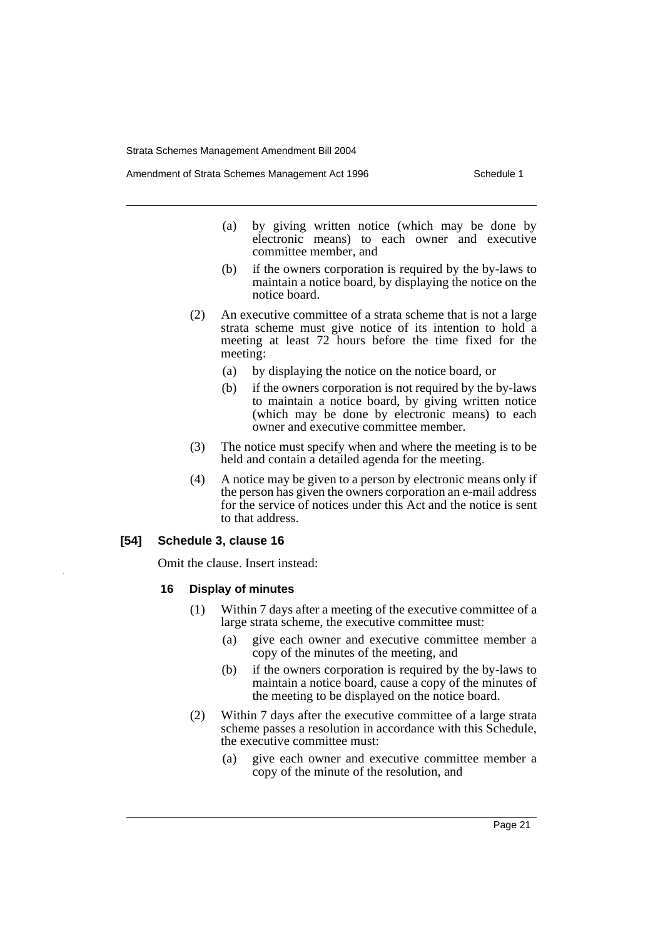Amendment of Strata Schemes Management Act 1996 Schedule 1

- (a) by giving written notice (which may be done by electronic means) to each owner and executive committee member, and
- (b) if the owners corporation is required by the by-laws to maintain a notice board, by displaying the notice on the notice board.
- (2) An executive committee of a strata scheme that is not a large strata scheme must give notice of its intention to hold a meeting at least 72 hours before the time fixed for the meeting:
	- (a) by displaying the notice on the notice board, or
	- (b) if the owners corporation is not required by the by-laws to maintain a notice board, by giving written notice (which may be done by electronic means) to each owner and executive committee member.
- (3) The notice must specify when and where the meeting is to be held and contain a detailed agenda for the meeting.
- (4) A notice may be given to a person by electronic means only if the person has given the owners corporation an e-mail address for the service of notices under this Act and the notice is sent to that address.

### **[54] Schedule 3, clause 16**

Omit the clause. Insert instead:

#### **16 Display of minutes**

- (1) Within 7 days after a meeting of the executive committee of a large strata scheme, the executive committee must:
	- (a) give each owner and executive committee member a copy of the minutes of the meeting, and
	- (b) if the owners corporation is required by the by-laws to maintain a notice board, cause a copy of the minutes of the meeting to be displayed on the notice board.
- (2) Within 7 days after the executive committee of a large strata scheme passes a resolution in accordance with this Schedule, the executive committee must:
	- (a) give each owner and executive committee member a copy of the minute of the resolution, and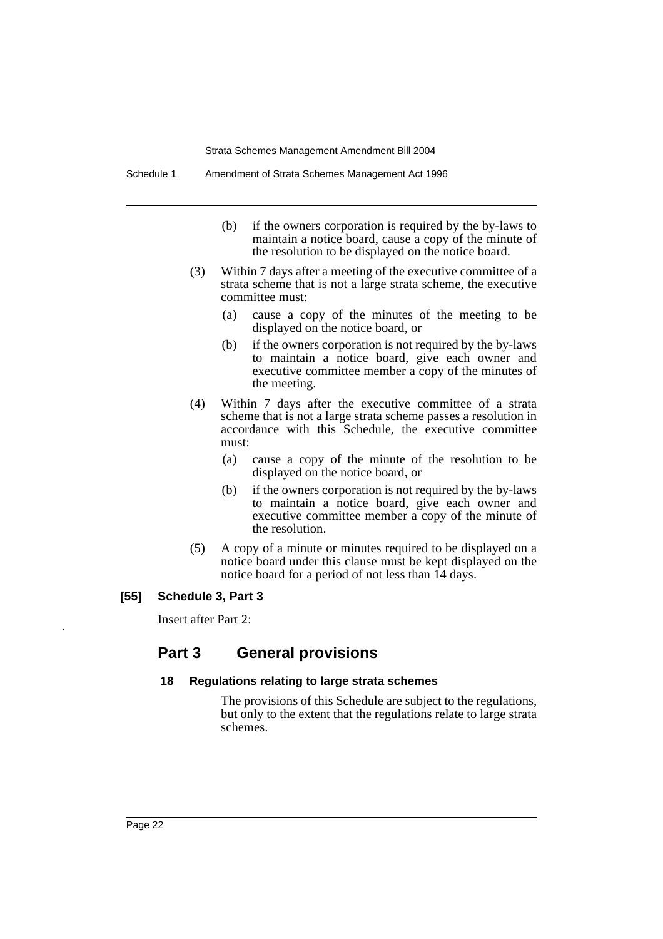- (b) if the owners corporation is required by the by-laws to maintain a notice board, cause a copy of the minute of the resolution to be displayed on the notice board.
- (3) Within 7 days after a meeting of the executive committee of a strata scheme that is not a large strata scheme, the executive committee must:
	- (a) cause a copy of the minutes of the meeting to be displayed on the notice board, or
	- (b) if the owners corporation is not required by the by-laws to maintain a notice board, give each owner and executive committee member a copy of the minutes of the meeting.
- (4) Within 7 days after the executive committee of a strata scheme that is not a large strata scheme passes a resolution in accordance with this Schedule, the executive committee must:
	- (a) cause a copy of the minute of the resolution to be displayed on the notice board, or
	- (b) if the owners corporation is not required by the by-laws to maintain a notice board, give each owner and executive committee member a copy of the minute of the resolution.
- (5) A copy of a minute or minutes required to be displayed on a notice board under this clause must be kept displayed on the notice board for a period of not less than 14 days.

### **[55] Schedule 3, Part 3**

Insert after Part 2:

# **Part 3 General provisions**

#### **18 Regulations relating to large strata schemes**

The provisions of this Schedule are subject to the regulations, but only to the extent that the regulations relate to large strata schemes.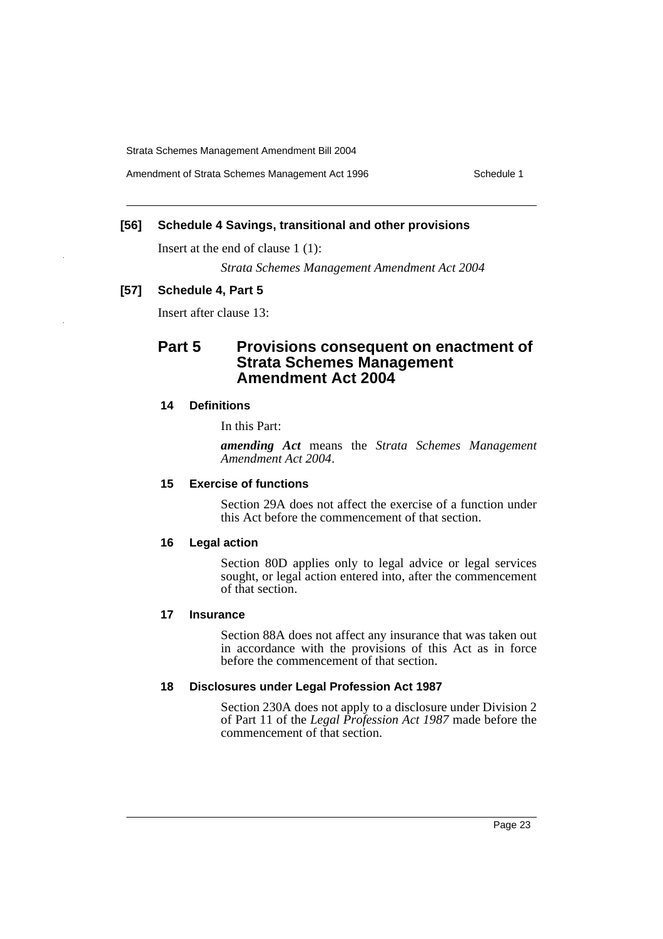Amendment of Strata Schemes Management Act 1996 Schedule 1

### **[56] Schedule 4 Savings, transitional and other provisions**

Insert at the end of clause 1 (1):

*Strata Schemes Management Amendment Act 2004*

### **[57] Schedule 4, Part 5**

Insert after clause 13:

# **Part 5 Provisions consequent on enactment of Strata Schemes Management Amendment Act 2004**

### **14 Definitions**

In this Part:

*amending Act* means the *Strata Schemes Management Amendment Act 2004*.

### **15 Exercise of functions**

Section 29A does not affect the exercise of a function under this Act before the commencement of that section.

#### **16 Legal action**

Section 80D applies only to legal advice or legal services sought, or legal action entered into, after the commencement of that section.

#### **17 Insurance**

Section 88A does not affect any insurance that was taken out in accordance with the provisions of this Act as in force before the commencement of that section.

### **18 Disclosures under Legal Profession Act 1987**

Section 230A does not apply to a disclosure under Division 2 of Part 11 of the *Legal Profession Act 1987* made before the commencement of that section.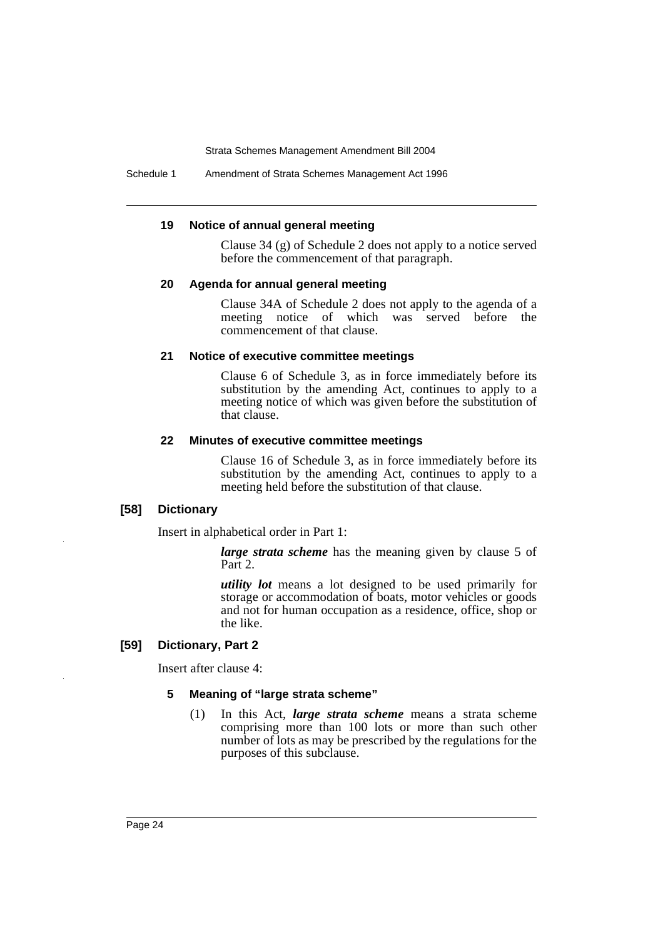Schedule 1 Amendment of Strata Schemes Management Act 1996

#### **19 Notice of annual general meeting**

Clause 34 (g) of Schedule 2 does not apply to a notice served before the commencement of that paragraph.

### **20 Agenda for annual general meeting**

Clause 34A of Schedule 2 does not apply to the agenda of a meeting notice of which was served before the commencement of that clause.

### **21 Notice of executive committee meetings**

Clause 6 of Schedule 3, as in force immediately before its substitution by the amending Act, continues to apply to a meeting notice of which was given before the substitution of that clause.

#### **22 Minutes of executive committee meetings**

Clause 16 of Schedule 3, as in force immediately before its substitution by the amending Act, continues to apply to a meeting held before the substitution of that clause.

### **[58] Dictionary**

Insert in alphabetical order in Part 1:

*large strata scheme* has the meaning given by clause 5 of Part 2.

*utility lot* means a lot designed to be used primarily for storage or accommodation of boats, motor vehicles or goods and not for human occupation as a residence, office, shop or the like.

### **[59] Dictionary, Part 2**

Insert after clause 4:

#### **5 Meaning of "large strata scheme"**

(1) In this Act, *large strata scheme* means a strata scheme comprising more than 100 lots or more than such other number of lots as may be prescribed by the regulations for the purposes of this subclause.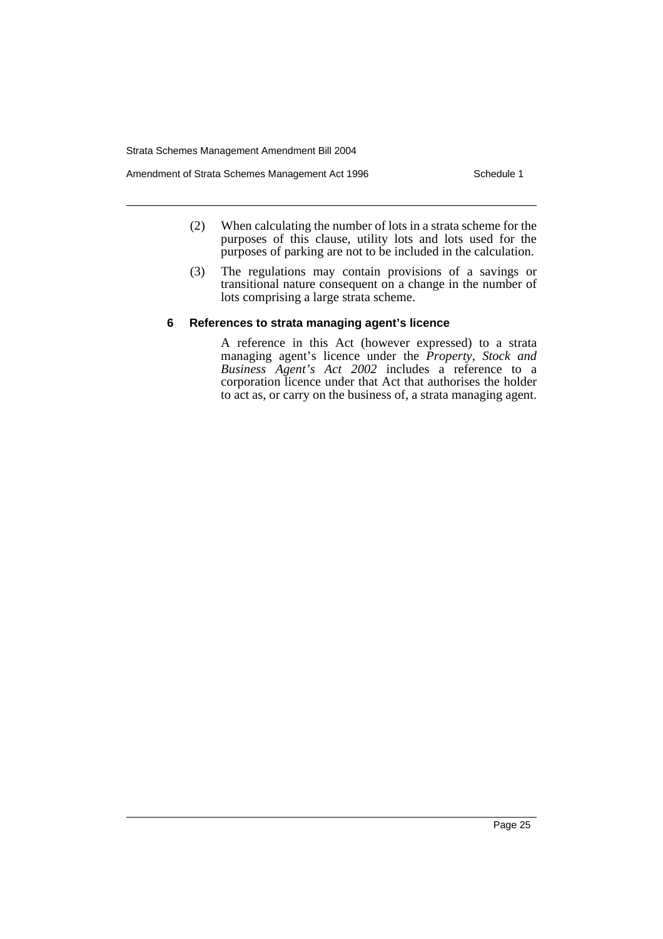Amendment of Strata Schemes Management Act 1996 Schedule 1

- (2) When calculating the number of lots in a strata scheme for the purposes of this clause, utility lots and lots used for the purposes of parking are not to be included in the calculation.
- (3) The regulations may contain provisions of a savings or transitional nature consequent on a change in the number of lots comprising a large strata scheme.

### **6 References to strata managing agent's licence**

A reference in this Act (however expressed) to a strata managing agent's licence under the *Property, Stock and Business Agent's Act 2002* includes a reference to a corporation licence under that Act that authorises the holder to act as, or carry on the business of, a strata managing agent.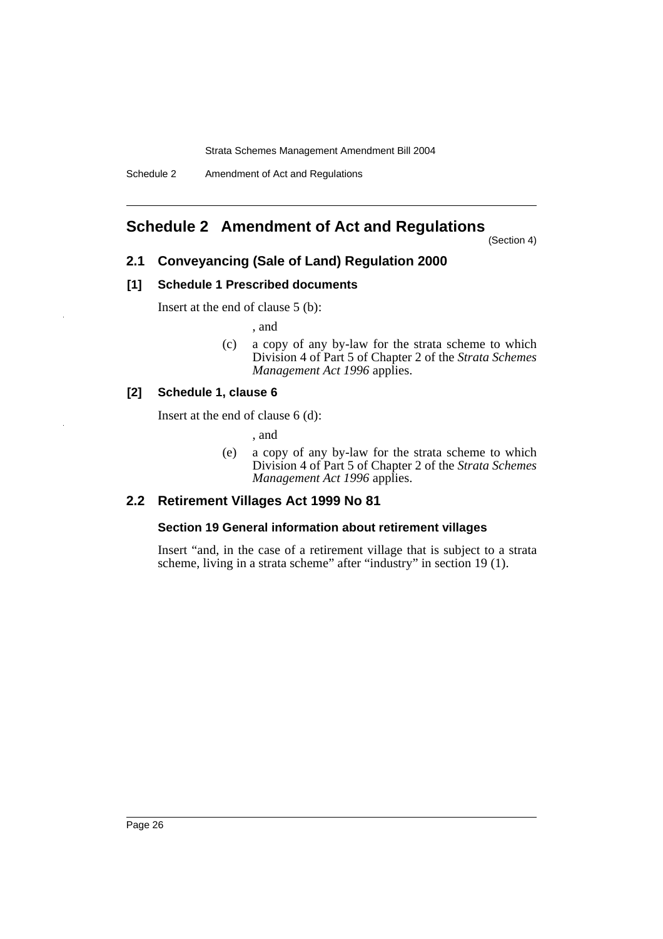# **Schedule 2 Amendment of Act and Regulations**

(Section 4)

### **2.1 Conveyancing (Sale of Land) Regulation 2000**

### **[1] Schedule 1 Prescribed documents**

Insert at the end of clause 5 (b):

, and

(c) a copy of any by-law for the strata scheme to which Division 4 of Part 5 of Chapter 2 of the *Strata Schemes Management Act 1996* applies.

### **[2] Schedule 1, clause 6**

Insert at the end of clause 6 (d):

, and

(e) a copy of any by-law for the strata scheme to which Division 4 of Part 5 of Chapter 2 of the *Strata Schemes Management Act 1996* applies.

### **2.2 Retirement Villages Act 1999 No 81**

### **Section 19 General information about retirement villages**

Insert "and, in the case of a retirement village that is subject to a strata scheme, living in a strata scheme" after "industry" in section 19 (1).